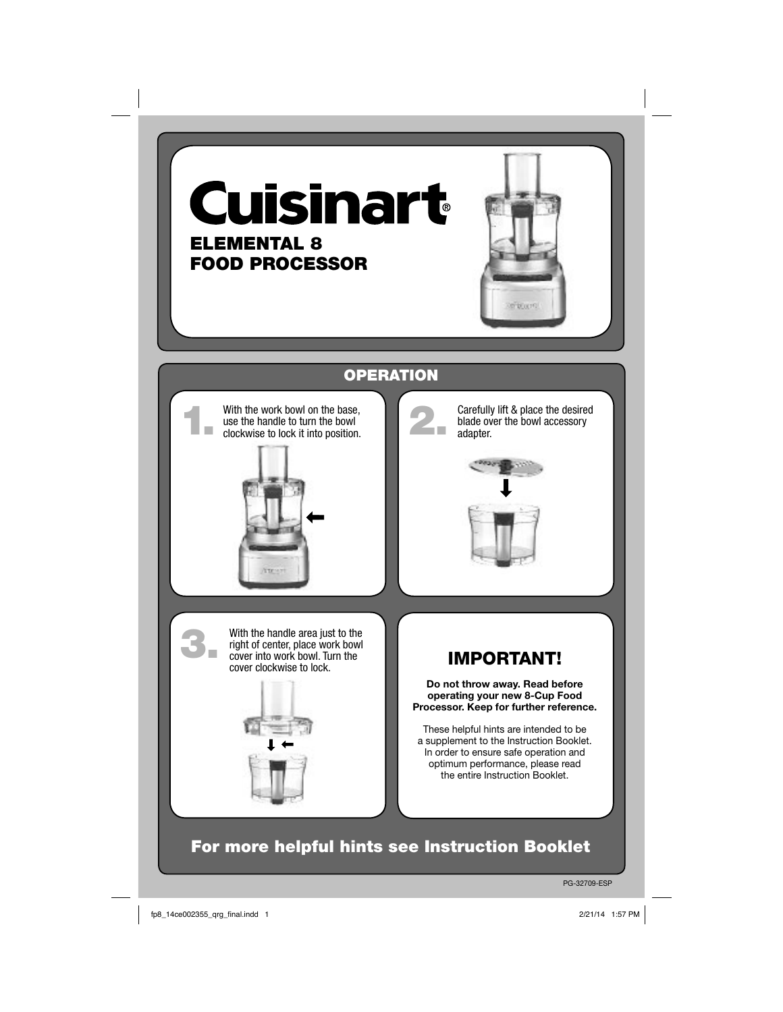





PG-32709-ESP